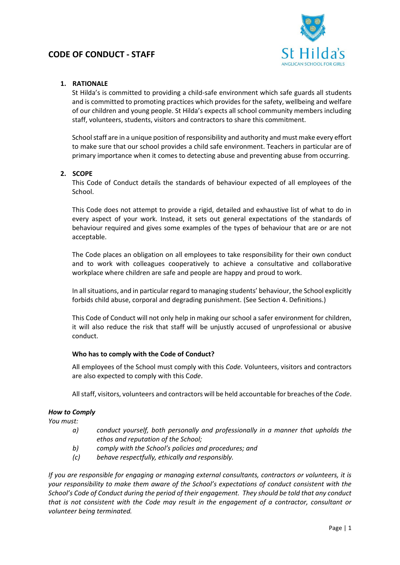

# **1. RATIONALE**

St Hilda's is committed to providing a child-safe environment which safe guards all students and is committed to promoting practices which provides for the safety, wellbeing and welfare of our children and young people. St Hilda's expects all school community members including staff, volunteers, students, visitors and contractors to share this commitment.

School staff are in a unique position of responsibility and authority and must make every effort to make sure that our school provides a child safe environment. Teachers in particular are of primary importance when it comes to detecting abuse and preventing abuse from occurring.

# **2. SCOPE**

This Code of Conduct details the standards of behaviour expected of all employees of the School.

This Code does not attempt to provide a rigid, detailed and exhaustive list of what to do in every aspect of your work. Instead, it sets out general expectations of the standards of behaviour required and gives some examples of the types of behaviour that are or are not acceptable.

The Code places an obligation on all employees to take responsibility for their own conduct and to work with colleagues cooperatively to achieve a consultative and collaborative workplace where children are safe and people are happy and proud to work.

In all situations, and in particular regard to managing students' behaviour, the School explicitly forbids child abuse, corporal and degrading punishment. (See Section 4. Definitions.)

This Code of Conduct will not only help in making our school a safer environment for children, it will also reduce the risk that staff will be unjustly accused of unprofessional or abusive conduct.

# **Who has to comply with the Code of Conduct?**

All employees of the School must comply with this *Code.* Volunteers, visitors and contractors are also expected to comply with this C*ode*.

All staff, visitors, volunteers and contractors will be held accountable for breaches of the *Code*.

# *How to Comply*

*You must:*

- *a) conduct yourself, both personally and professionally in a manner that upholds the ethos and reputation of the School;*
- *b) comply with the School's policies and procedures; and*
- *(c) behave respectfully, ethically and responsibly.*

*If you are responsible for engaging or managing external consultants, contractors or volunteers, it is your responsibility to make them aware of the School's expectations of conduct consistent with the School's Code of Conduct during the period of their engagement. They should be told that any conduct that is not consistent with the Code may result in the engagement of a contractor, consultant or volunteer being terminated.*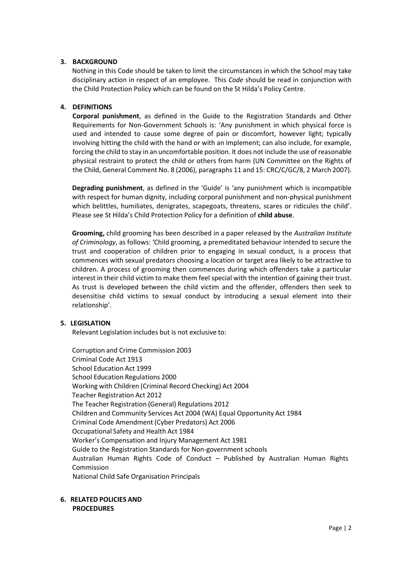## **3. BACKGROUND**

Nothing in this Code should be taken to limit the circumstances in which the School may take disciplinary action in respect of an employee. This *Code* should be read in conjunction with the Child Protection Policy which can be found on the St Hilda's Policy Centre.

## **4. DEFINITIONS**

**Corporal punishment**, as defined in the Guide to the Registration Standards and Other Requirements for Non-Government Schools is: 'Any punishment in which physical force is used and intended to cause some degree of pain or discomfort, however light; typically involving hitting the child with the hand or with an implement; can also include, for example, forcing the child to stay in an uncomfortable position. It does not include the use of reasonable physical restraint to protect the child or others from harm (UN Committee on the Rights of the Child, General Comment No. 8 (2006), paragraphs 11 and 15: CRC/C/GC/8, 2 March 2007).

**Degrading punishment**, as defined in the 'Guide' is 'any punishment which is incompatible with respect for human dignity, including corporal punishment and non-physical punishment which belittles, humiliates, denigrates, scapegoats, threatens, scares or ridicules the child'. Please see St Hilda's Child Protection Policy for a definition of **child abuse**.

**Grooming,** child grooming has been described in a paper released by the *Australian Institute of Criminology*, as follows: 'Child grooming, a premeditated behaviour intended to secure the trust and cooperation of children prior to engaging in sexual conduct, is a process that commences with sexual predators choosing a location or target area likely to be attractive to children. A process of grooming then commences during which offenders take a particular interest in their child victim to make them feel special with the intention of gaining their trust. As trust is developed between the child victim and the offender, offenders then seek to desensitise child victims to sexual conduct by introducing a sexual element into their relationship'.

## **5. LEGISLATION**

Relevant Legislation includes but is not exclusive to:

Corruption and Crime Commission 2003 Criminal Code Act 1913 School Education Act 1999 School Education Regulations 2000 Working with Children (Criminal Record Checking) Act 2004 Teacher Registration Act 2012 The Teacher Registration (General) Regulations 2012 Children and Community Services Act 2004 (WA) Equal Opportunity Act 1984 Criminal Code Amendment (Cyber Predators) Act 2006 Occupational Safety and Health Act 1984 Worker's Compensation and Injury Management Act 1981 Guide to the Registration Standards for Non-government schools Australian Human Rights Code of Conduct – Published by Australian Human Rights Commission National Child Safe Organisation Principals

**6. RELATED POLICIES AND PROCEDURES**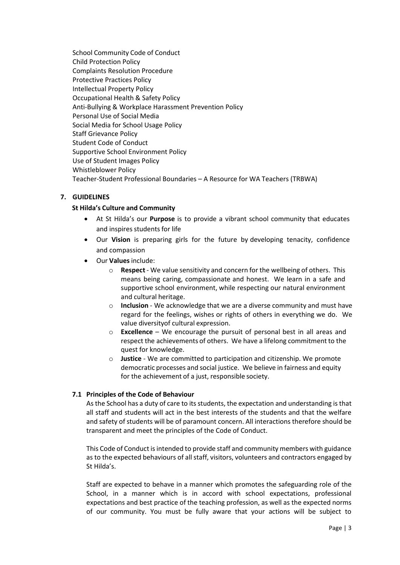School Community Code of Conduct Child Protection Policy Complaints Resolution Procedure Protective Practices Policy Intellectual Property Policy Occupational Health & Safety Policy Anti‐Bullying & Workplace Harassment Prevention Policy Personal Use of Social Media Social Media for School Usage Policy Staff Grievance Policy Student Code of Conduct Supportive School Environment Policy Use of Student Images Policy Whistleblower Policy Teacher-Student Professional Boundaries – A Resource for WA Teachers (TRBWA)

# **7. GUIDELINES**

## **St Hilda's Culture and Community**

- At St Hilda's our **Purpose** is to provide a vibrant school community that educates and inspires students for life
- Our **Vision** is preparing girls for the future by developing tenacity, confidence and compassion
- Our **Values** include:
	- o **Respect** ‐ We value sensitivity and concern for the wellbeing of others. This means being caring, compassionate and honest. We learn in a safe and supportive school environment, while respecting our natural environment and cultural heritage.
	- o **Inclusion** ‐ We acknowledge that we are a diverse community and must have regard for the feelings, wishes or rights of others in everything we do. We value diversityof cultural expression.
	- o **Excellence** We encourage the pursuit of personal best in all areas and respect the achievements of others. We have a lifelong commitment to the quest for knowledge.
	- o **Justice** ‐ We are committed to participation and citizenship. We promote democratic processes and social justice. We believe in fairness and equity for the achievement of a just, responsible society.

## **7.1 Principles of the Code of Behaviour**

As the School has a duty of care to its students, the expectation and understanding is that all staff and students will act in the best interests of the students and that the welfare and safety of students will be of paramount concern. All interactions therefore should be transparent and meet the principles of the Code of Conduct.

This Code of Conduct is intended to provide staff and community members with guidance as to the expected behaviours of all staff, visitors, volunteers and contractors engaged by St Hilda's.

Staff are expected to behave in a manner which promotes the safeguarding role of the School, in a manner which is in accord with school expectations, professional expectations and best practice of the teaching profession, as well as the expected norms of our community. You must be fully aware that your actions will be subject to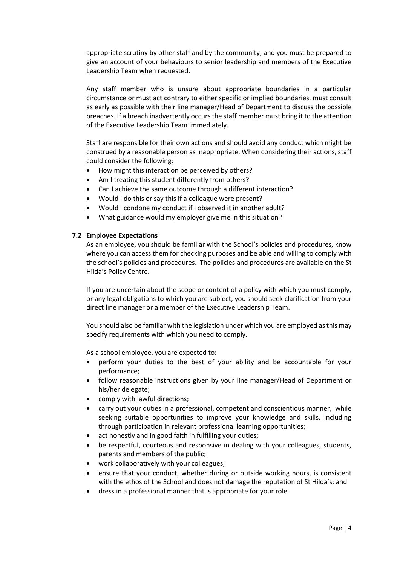appropriate scrutiny by other staff and by the community, and you must be prepared to give an account of your behaviours to senior leadership and members of the Executive Leadership Team when requested.

Any staff member who is unsure about appropriate boundaries in a particular circumstance or must act contrary to either specific or implied boundaries, must consult as early as possible with their line manager/Head of Department to discuss the possible breaches. If a breach inadvertently occurs the staff member must bring it to the attention of the Executive Leadership Team immediately.

Staff are responsible for their own actions and should avoid any conduct which might be construed by a reasonable person as inappropriate. When considering their actions, staff could consider the following:

- How might this interaction be perceived by others?
- Am I treating this student differently from others?
- Can I achieve the same outcome through a different interaction?
- Would I do this or say this if a colleague were present?
- Would I condone my conduct if I observed it in another adult?
- What guidance would my employer give me in this situation?

## **7.2 Employee Expectations**

As an employee, you should be familiar with the School's policies and procedures, know where you can access them for checking purposes and be able and willing to comply with the school's policies and procedures. The policies and procedures are available on the St Hilda's Policy Centre.

If you are uncertain about the scope or content of a policy with which you must comply, or any legal obligations to which you are subject, you should seek clarification from your direct line manager or a member of the Executive Leadership Team.

You should also be familiar with the legislation under which you are employed as this may specify requirements with which you need to comply.

As a school employee, you are expected to:

- perform your duties to the best of your ability and be accountable for your performance;
- follow reasonable instructions given by your line manager/Head of Department or his/her delegate;
- comply with lawful directions;
- carry out your duties in a professional, competent and conscientious manner, while seeking suitable opportunities to improve your knowledge and skills, including through participation in relevant professional learning opportunities;
- act honestly and in good faith in fulfilling your duties;
- be respectful, courteous and responsive in dealing with your colleagues, students, parents and members of the public;
- work collaboratively with your colleagues;
- ensure that your conduct, whether during or outside working hours, is consistent with the ethos of the School and does not damage the reputation of St Hilda's; and
- dress in a professional manner that is appropriate for your role.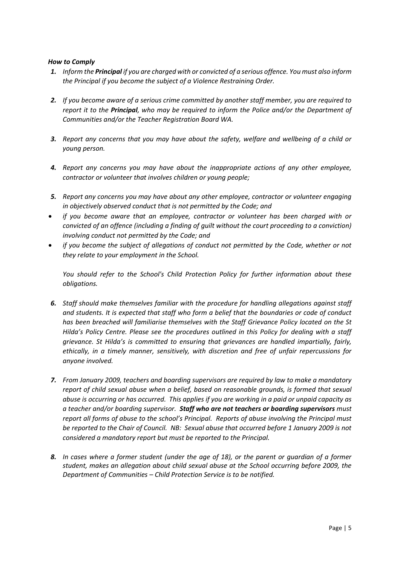- *1. Inform the Principal if you are charged with or convicted of a serious offence. You must also inform the Principal if you become the subject of a Violence Restraining Order.*
- *2. If you become aware of a serious crime committed by another staff member, you are required to report it to the Principal, who may be required to inform the Police and/or the Department of Communities and/or the Teacher Registration Board WA.*
- *3. Report any concerns that you may have about the safety, welfare and wellbeing of a child or young person.*
- *4. Report any concerns you may have about the inappropriate actions of any other employee, contractor or volunteer that involves children or young people;*
- *5. Report any concerns you may have about any other employee, contractor or volunteer engaging in objectively observed conduct that is not permitted by the Code; and*
- *if you become aware that an employee, contractor or volunteer has been charged with or convicted of an offence (including a finding of guilt without the court proceeding to a conviction) involving conduct not permitted by the Code; and*
- *if you become the subject of allegations of conduct not permitted by the Code, whether or not they relate to your employment in the School.*

*You should refer to the School's Child Protection Policy for further information about these obligations.*

- *6. Staff should make themselves familiar with the procedure for handling allegations against staff and students. It is expected that staff who form a belief that the boundaries or code of conduct has been breached will familiarise themselves with the Staff Grievance Policy located on the St Hilda's Policy Centre. Please see the procedures outlined in this Policy for dealing with a staff grievance. St Hilda's is committed to ensuring that grievances are handled impartially, fairly, ethically, in a timely manner, sensitively, with discretion and free of unfair repercussions for anyone involved.*
- *7. From January 2009, teachers and boarding supervisors are required by law to make a mandatory report of child sexual abuse when a belief, based on reasonable grounds, is formed that sexual abuse is occurring or has occurred. This applies if you are working in a paid or unpaid capacity as a teacher and/or boarding supervisor. Staff who are not teachers or boarding supervisors must report all forms of abuse to the school's Principal. Reports of abuse involving the Principal must be reported to the Chair of Council. NB: Sexual abuse that occurred before 1 January 2009 is not considered a mandatory report but must be reported to the Principal.*
- *8. In cases where a former student (under the age of 18), or the parent or guardian of a former student, makes an allegation about child sexual abuse at the School occurring before 2009, the Department of Communities – Child Protection Service is to be notified.*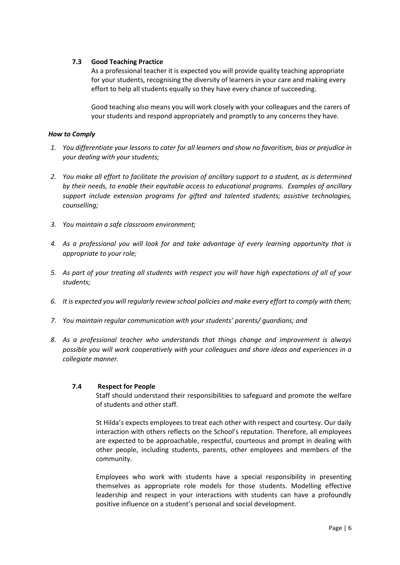## **7.3 Good Teaching Practice**

As a professional teacher it is expected you will provide quality teaching appropriate for your students, recognising the diversity of learners in your care and making every effort to help all students equally so they have every chance of succeeding.

Good teaching also means you will work closely with your colleagues and the carers of your students and respond appropriately and promptly to any concerns they have.

## *How to Comply*

- *1. You differentiate your lessons to cater for all learners and show no favoritism, bias or prejudice in your dealing with your students;*
- *2. You make all effort to facilitate the provision of ancillary support to a student, as is determined by their needs, to enable their equitable access to educational programs. Examples of ancillary support include extension programs for gifted and talented students; assistive technologies, counselling;*
- *3. You maintain a safe classroom environment;*
- *4. As a professional you will look for and take advantage of every learning opportunity that is appropriate to your role;*
- *5. As part of your treating all students with respect you will have high expectations of all of your students;*
- *6. It is expected you will regularly review school policies and make every effort to comply with them;*
- *7. You maintain regular communication with your students' parents/ guardians; and*
- *8. As a professional teacher who understands that things change and improvement is always possible you will work cooperatively with your colleagues and share ideas and experiences in a collegiate manner.*

## **7.4 Respect for People**

Staff should understand their responsibilities to safeguard and promote the welfare of students and other staff.

St Hilda's expects employees to treat each other with respect and courtesy. Our daily interaction with others reflects on the School's reputation. Therefore, all employees are expected to be approachable, respectful, courteous and prompt in dealing with other people, including students, parents, other employees and members of the community.

Employees who work with students have a special responsibility in presenting themselves as appropriate role models for those students. Modelling effective leadership and respect in your interactions with students can have a profoundly positive influence on a student's personal and social development.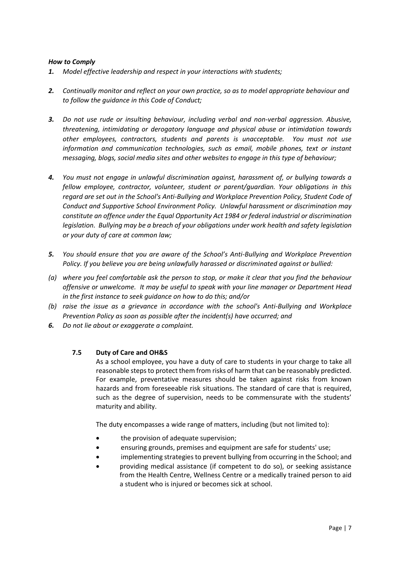- *1. Model effective leadership and respect in your interactions with students;*
- *2. Continually monitor and reflect on your own practice, so as to model appropriate behaviour and to follow the guidance in this Code of Conduct;*
- *3. Do not use rude or insulting behaviour, including verbal and non-verbal aggression. Abusive, threatening, intimidating or derogatory language and physical abuse or intimidation towards other employees, contractors, students and parents is unacceptable. You must not use information and communication technologies, such as email, mobile phones, text or instant messaging, blogs, social media sites and other websites to engage in this type of behaviour;*
- *4. You must not engage in unlawful discrimination against, harassment of, or bullying towards a fellow employee, contractor, volunteer, student or parent/guardian. Your obligations in this regard are set out in the School's Anti-Bullying and Workplace Prevention Policy, Student Code of Conduct and Supportive School Environment Policy. Unlawful harassment or discrimination may constitute an offence under the Equal Opportunity Act 1984 or federal industrial or discrimination legislation. Bullying may be a breach of your obligations under work health and safety legislation or your duty of care at common law;*
- *5. You should ensure that you are aware of the School's Anti-Bullying and Workplace Prevention Policy. If you believe you are being unlawfully harassed or discriminated against or bullied:*
- *(a) where you feel comfortable ask the person to stop, or make it clear that you find the behaviour offensive or unwelcome. It may be useful to speak with your line manager or Department Head in the first instance to seek guidance on how to do this; and/or*
- *(b) raise the issue as a grievance in accordance with the school's Anti-Bullying and Workplace Prevention Policy as soon as possible after the incident(s) have occurred; and*
- *6. Do not lie about or exaggerate a complaint.*

## **7.5 Duty of Care and OH&S**

As a school employee, you have a duty of care to students in your charge to take all reasonable steps to protect them from risks of harm that can be reasonably predicted. For example, preventative measures should be taken against risks from known hazards and from foreseeable risk situations. The standard of care that is required, such as the degree of supervision, needs to be commensurate with the students' maturity and ability.

The duty encompasses a wide range of matters, including (but not limited to):

- the provision of adequate supervision;
- ensuring grounds, premises and equipment are safe for students' use;
- implementing strategies to prevent bullying from occurring in the School; and
- providing medical assistance (if competent to do so), or seeking assistance from the Health Centre, Wellness Centre or a medically trained person to aid a student who is injured or becomes sick at school.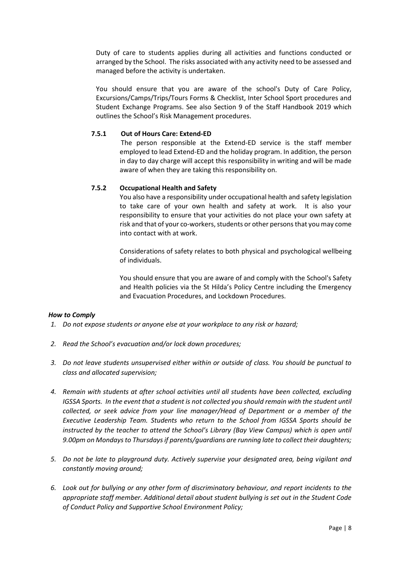Duty of care to students applies during all activities and functions conducted or arranged by the School. The risks associated with any activity need to be assessed and managed before the activity is undertaken.

You should ensure that you are aware of the school's Duty of Care Policy, Excursions/Camps/Trips/Tours Forms & Checklist, Inter School Sport procedures and Student Exchange Programs. See also Section 9 of the Staff Handbook 2019 which outlines the School's Risk Management procedures.

## **7.5.1 Out of Hours Care: Extend-ED**

The person responsible at the Extend-ED service is the staff member employed to lead Extend-ED and the holiday program. In addition, the person in day to day charge will accept this responsibility in writing and will be made aware of when they are taking this responsibility on.

# **7.5.2 Occupational Health and Safety**

You also have a responsibility under occupational health and safety legislation to take care of your own health and safety at work. It is also your responsibility to ensure that your activities do not place your own safety at risk and that of your co-workers, students or other persons that you may come into contact with at work.

Considerations of safety relates to both physical and psychological wellbeing of individuals.

You should ensure that you are aware of and comply with the School's Safety and Health policies via the St Hilda's Policy Centre including the Emergency and Evacuation Procedures, and Lockdown Procedures.

## *How to Comply*

- *1. Do not expose students or anyone else at your workplace to any risk or hazard;*
- *2. Read the School's evacuation and/or lock down procedures;*
- *3. Do not leave students unsupervised either within or outside of class. You should be punctual to class and allocated supervision;*
- *4. Remain with students at after school activities until all students have been collected, excluding IGSSA Sports. In the event that a student is not collected you should remain with the student until collected, or seek advice from your line manager/Head of Department or a member of the Executive Leadership Team. Students who return to the School from IGSSA Sports should be instructed by the teacher to attend the School's Library (Bay View Campus) which is open until 9.00pm on Mondays to Thursdays if parents/guardians are running late to collect their daughters;*
- *5. Do not be late to playground duty. Actively supervise your designated area, being vigilant and constantly moving around;*
- *6. Look out for bullying or any other form of discriminatory behaviour, and report incidents to the appropriate staff member. Additional detail about student bullying is set out in the Student Code of Conduct Policy and Supportive School Environment Policy;*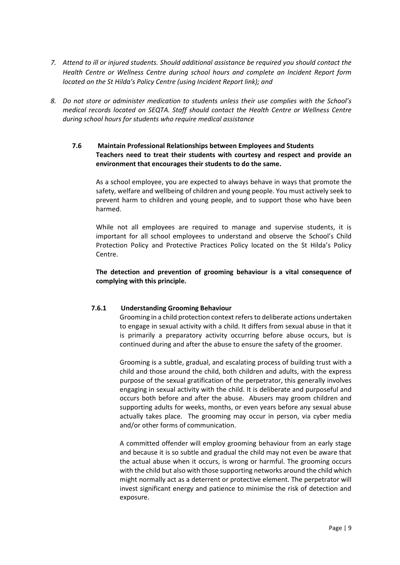- *7. Attend to ill or injured students. Should additional assistance be required you should contact the Health Centre or Wellness Centre during school hours and complete an Incident Report form located on the St Hilda's Policy Centre (using Incident Report link); and*
- *8. Do not store or administer medication to students unless their use complies with the School's medical records located on SEQTA. Staff should contact the Health Centre or Wellness Centre during school hours for students who require medical assistance*
	- **7.6 Maintain Professional Relationships between Employees and Students Teachers need to treat their students with courtesy and respect and provide an environment that encourages their students to do the same.**

As a school employee, you are expected to always behave in ways that promote the safety, welfare and wellbeing of children and young people. You must actively seek to prevent harm to children and young people, and to support those who have been harmed.

While not all employees are required to manage and supervise students, it is important for all school employees to understand and observe the School's Child Protection Policy and Protective Practices Policy located on the St Hilda's Policy Centre.

**The detection and prevention of grooming behaviour is a vital consequence of complying with this principle.**

# **7.6.1 Understanding Grooming Behaviour**

Grooming in a child protection context refers to deliberate actions undertaken to engage in sexual activity with a child. It differs from sexual abuse in that it is primarily a preparatory activity occurring before abuse occurs, but is continued during and after the abuse to ensure the safety of the groomer.

Grooming is a subtle, gradual, and escalating process of building trust with a child and those around the child, both children and adults, with the express purpose of the sexual gratification of the perpetrator, this generally involves engaging in sexual activity with the child. It is deliberate and purposeful and occurs both before and after the abuse. Abusers may groom children and supporting adults for weeks, months, or even years before any sexual abuse actually takes place. The grooming may occur in person, via cyber media and/or other forms of communication.

A committed offender will employ grooming behaviour from an early stage and because it is so subtle and gradual the child may not even be aware that the actual abuse when it occurs, is wrong or harmful. The grooming occurs with the child but also with those supporting networks around the child which might normally act as a deterrent or protective element. The perpetrator will invest significant energy and patience to minimise the risk of detection and exposure.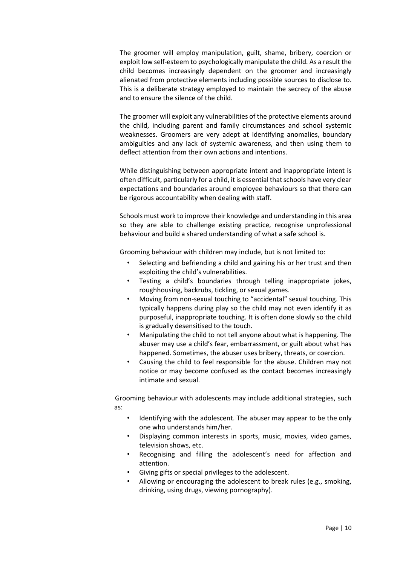The groomer will employ manipulation, guilt, shame, bribery, coercion or exploit low self-esteem to psychologically manipulate the child. As a result the child becomes increasingly dependent on the groomer and increasingly alienated from protective elements including possible sources to disclose to. This is a deliberate strategy employed to maintain the secrecy of the abuse and to ensure the silence of the child.

The groomer will exploit any vulnerabilities of the protective elements around the child, including parent and family circumstances and school systemic weaknesses. Groomers are very adept at identifying anomalies, boundary ambiguities and any lack of systemic awareness, and then using them to deflect attention from their own actions and intentions.

While distinguishing between appropriate intent and inappropriate intent is often difficult, particularly for a child, it is essential that schools have very clear expectations and boundaries around employee behaviours so that there can be rigorous accountability when dealing with staff.

Schools must work to improve their knowledge and understanding in this area so they are able to challenge existing practice, recognise unprofessional behaviour and build a shared understanding of what a safe school is.

Grooming behaviour with children may include, but is not limited to:

- Selecting and befriending a child and gaining his or her trust and then exploiting the child's vulnerabilities.
- Testing a child's boundaries through telling inappropriate jokes, roughhousing, backrubs, tickling, or sexual games.
- Moving from non-sexual touching to "accidental" sexual touching. This typically happens during play so the child may not even identify it as purposeful, inappropriate touching. It is often done slowly so the child is gradually desensitised to the touch.
- Manipulating the child to not tell anyone about what is happening. The abuser may use a child's fear, embarrassment, or guilt about what has happened. Sometimes, the abuser uses bribery, threats, or coercion.
- Causing the child to feel responsible for the abuse. Children may not notice or may become confused as the contact becomes increasingly intimate and sexual.

Grooming behaviour with adolescents may include additional strategies, such as:

- Identifying with the adolescent. The abuser may appear to be the only one who understands him/her.
- Displaying common interests in sports, music, movies, video games, television shows, etc.
- Recognising and filling the adolescent's need for affection and attention.
- Giving gifts or special privileges to the adolescent.
- Allowing or encouraging the adolescent to break rules (e.g., smoking, drinking, using drugs, viewing pornography).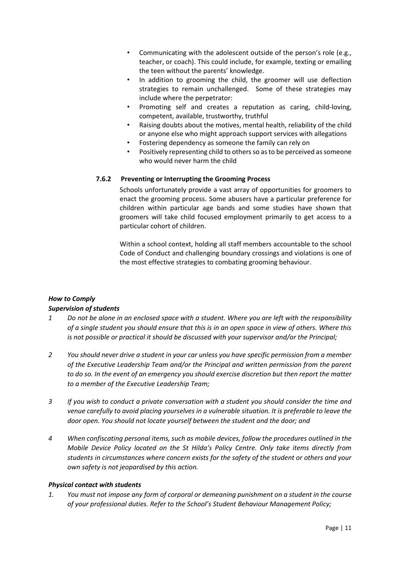- Communicating with the adolescent outside of the person's role (e.g., teacher, or coach). This could include, for example, texting or emailing the teen without the parents' knowledge.
- In addition to grooming the child, the groomer will use deflection strategies to remain unchallenged. Some of these strategies may include where the perpetrator:
- Promoting self and creates a reputation as caring, child-loving, competent, available, trustworthy, truthful
- Raising doubts about the motives, mental health, reliability of the child or anyone else who might approach support services with allegations
- Fostering dependency as someone the family can rely on
- Positively representing child to others so as to be perceived as someone who would never harm the child

# **7.6.2 Preventing or Interrupting the Grooming Process**

Schools unfortunately provide a vast array of opportunities for groomers to enact the grooming process. Some abusers have a particular preference for children within particular age bands and some studies have shown that groomers will take child focused employment primarily to get access to a particular cohort of children.

Within a school context, holding all staff members accountable to the school Code of Conduct and challenging boundary crossings and violations is one of the most effective strategies to combating grooming behaviour.

# *How to Comply*

# *Supervision of students*

- *1 Do not be alone in an enclosed space with a student. Where you are left with the responsibility of a single student you should ensure that this is in an open space in view of others. Where this is not possible or practical it should be discussed with your supervisor and/or the Principal;*
- *2 You should never drive a student in your car unless you have specific permission from a member of the Executive Leadership Team and/or the Principal and written permission from the parent to do so. In the event of an emergency you should exercise discretion but then report the matter to a member of the Executive Leadership Team;*
- *3 If you wish to conduct a private conversation with a student you should consider the time and venue carefully to avoid placing yourselves in a vulnerable situation. It is preferable to leave the door open. You should not locate yourself between the student and the door; and*
- *4 When confiscating personal items, such as mobile devices, follow the procedures outlined in the Mobile Device Policy located on the St Hilda's Policy Centre. Only take items directly from students in circumstances where concern exists for the safety of the student or others and your own safety is not jeopardised by this action.*

## *Physical contact with students*

*1. You must not impose any form of corporal or demeaning punishment on a student in the course of your professional duties. Refer to the School's Student Behaviour Management Policy;*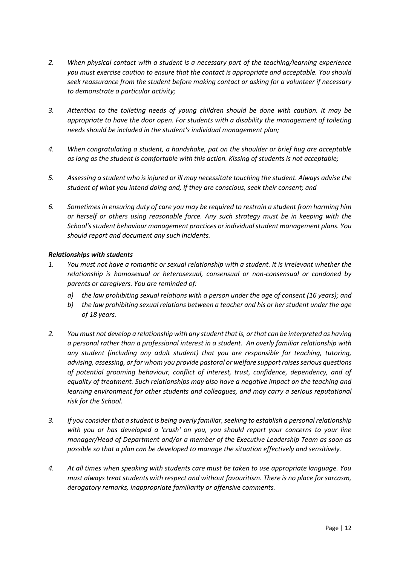- *2. When physical contact with a student is a necessary part of the teaching/learning experience you must exercise caution to ensure that the contact is appropriate and acceptable. You should seek reassurance from the student before making contact or asking for a volunteer if necessary to demonstrate a particular activity;*
- *3. Attention to the toileting needs of young children should be done with caution. It may be appropriate to have the door open. For students with a disability the management of toileting needs should be included in the student's individual management plan;*
- *4. When congratulating a student, a handshake, pat on the shoulder or brief hug are acceptable as long as the student is comfortable with this action. Kissing of students is not acceptable;*
- *5. Assessing a student who is injured or ill may necessitate touching the student. Always advise the student of what you intend doing and, if they are conscious, seek their consent; and*
- *6. Sometimes in ensuring duty of care you may be required to restrain a student from harming him or herself or others using reasonable force. Any such strategy must be in keeping with the School's student behaviour management practices or individual student management plans. You should report and document any such incidents.*

## *Relationships with students*

- *1. You must not have a romantic or sexual relationship with a student. It is irrelevant whether the relationship is homosexual or heterosexual, consensual or non-consensual or condoned by parents or caregivers. You are reminded of:*
	- *a) the law prohibiting sexual relations with a person under the age of consent (16 years); and*
	- *b) the law prohibiting sexual relations between a teacher and his or her student under the age of 18 years.*
- *2. You must not develop a relationship with any student that is, or that can be interpreted as having a personal rather than a professional interest in a student. An overly familiar relationship with any student (including any adult student) that you are responsible for teaching, tutoring, advising, assessing, or for whom you provide pastoral or welfare support raises serious questions of potential grooming behaviour, conflict of interest, trust, confidence, dependency, and of equality of treatment. Such relationships may also have a negative impact on the teaching and learning environment for other students and colleagues, and may carry a serious reputational risk for the School.*
- *3. If you consider that a student is being overly familiar, seeking to establish a personal relationship with you or has developed a 'crush' on you, you should report your concerns to your line manager/Head of Department and/or a member of the Executive Leadership Team as soon as possible so that a plan can be developed to manage the situation effectively and sensitively.*
- *4. At all times when speaking with students care must be taken to use appropriate language. You must always treat students with respect and without favouritism. There is no place for sarcasm, derogatory remarks, inappropriate familiarity or offensive comments.*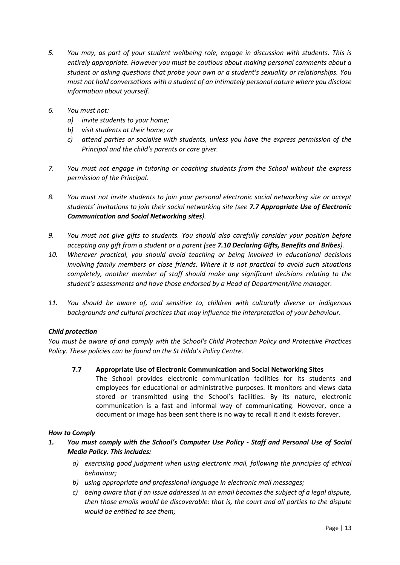- *5. You may, as part of your student wellbeing role, engage in discussion with students. This is entirely appropriate. However you must be cautious about making personal comments about a student or asking questions that probe your own or a student's sexuality or relationships. You must not hold conversations with a student of an intimately personal nature where you disclose information about yourself.*
- *6. You must not:*
	- *a) invite students to your home;*
	- *b) visit students at their home; or*
	- *c) attend parties or socialise with students, unless you have the express permission of the Principal and the child's parents or care giver.*
- *7. You must not engage in tutoring or coaching students from the School without the express permission of the Principal.*
- *8. You must not invite students to join your personal electronic social networking site or accept students' invitations to join their social networking site (see 7.7 Appropriate Use of Electronic Communication and Social Networking sites).*
- *9. You must not give gifts to students. You should also carefully consider your position before accepting any gift from a student or a parent (see 7.10 Declaring Gifts, Benefits and Bribes).*
- *10. Wherever practical, you should avoid teaching or being involved in educational decisions involving family members or close friends. Where it is not practical to avoid such situations completely, another member of staff should make any significant decisions relating to the student's assessments and have those endorsed by a Head of Department/line manager.*
- *11. You should be aware of, and sensitive to, children with culturally diverse or indigenous backgrounds and cultural practices that may influence the interpretation of your behaviour.*

# *Child protection*

*You must be aware of and comply with the School's Child Protection Policy and Protective Practices Policy. These policies can be found on the St Hilda's Policy Centre.*

**7.7 Appropriate Use of Electronic Communication and Social Networking Sites**

The School provides electronic communication facilities for its students and employees for educational or administrative purposes. It monitors and views data stored or transmitted using the School's facilities. By its nature, electronic communication is a fast and informal way of communicating. However, once a document or image has been sent there is no way to recall it and it exists forever.

# *How to Comply*

- *1. You must comply with the School's Computer Use Policy - Staff and Personal Use of Social Media Policy. This includes:*
	- *a) exercising good judgment when using electronic mail, following the principles of ethical behaviour;*
	- *b) using appropriate and professional language in electronic mail messages;*
	- *c) being aware that if an issue addressed in an email becomes the subject of a legal dispute, then those emails would be discoverable: that is, the court and all parties to the dispute would be entitled to see them;*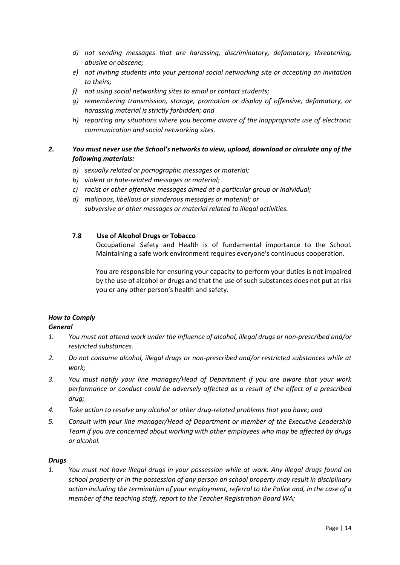- *d) not sending messages that are harassing, discriminatory, defamatory, threatening, abusive or obscene;*
- *e) not inviting students into your personal social networking site or accepting an invitation to theirs;*
- *f) not using social networking sites to email or contact students;*
- *g) remembering transmission, storage, promotion or display of offensive, defamatory, or harassing material is strictly forbidden; and*
- *h) reporting any situations where you become aware of the inappropriate use of electronic communication and social networking sites.*

# *2. You must never use the School's networks to view, upload, download or circulate any of the following materials:*

- *a) sexually related or pornographic messages or material;*
- *b) violent or hate-related messages or material;*
- *c) racist or other offensive messages aimed at a particular group or individual;*
- *d) malicious, libellous or slanderous messages or material; or subversive or other messages or material related to illegal activities.*

## **7.8 Use of Alcohol Drugs or Tobacco**

Occupational Safety and Health is of fundamental importance to the School. Maintaining a safe work environment requires everyone's continuous cooperation.

You are responsible for ensuring your capacity to perform your duties is not impaired by the use of alcohol or drugs and that the use of such substances does not put at risk you or any other person's health and safety.

# *How to Comply*

## *General*

- *1. You must not attend work under the influence of alcohol, illegal drugs or non-prescribed and/or restricted substances.*
- *2. Do not consume alcohol, illegal drugs or non-prescribed and/or restricted substances while at work;*
- *3. You must notify your line manager/Head of Department if you are aware that your work performance or conduct could be adversely affected as a result of the effect of a prescribed drug;*
- *4. Take action to resolve any alcohol or other drug-related problems that you have; and*
- *5. Consult with your line manager/Head of Department or member of the Executive Leadership Team if you are concerned about working with other employees who may be affected by drugs or alcohol.*

## *Drugs*

*1. You must not have illegal drugs in your possession while at work. Any illegal drugs found on school property or in the possession of any person on school property may result in disciplinary action including the termination of your employment, referral to the Police and, in the case of a member of the teaching staff, report to the Teacher Registration Board WA;*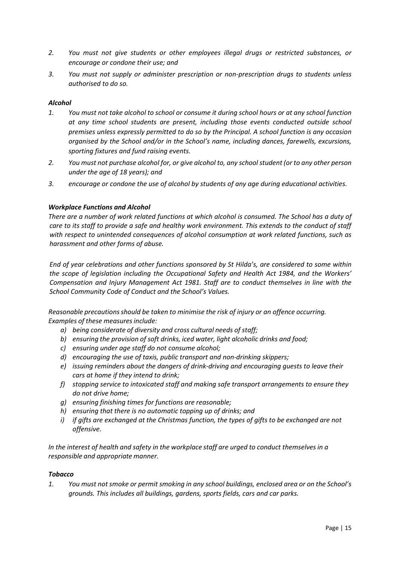- *2. You must not give students or other employees illegal drugs or restricted substances, or encourage or condone their use; and*
- *3. You must not supply or administer prescription or non-prescription drugs to students unless authorised to do so.*

## *Alcohol*

- *1. You must not take alcohol to school or consume it during school hours or at any school function at any time school students are present, including those events conducted outside school premises unless expressly permitted to do so by the Principal. A school function is any occasion organised by the School and/or in the School's name, including dances, farewells, excursions, sporting fixtures and fund raising events.*
- *2. You must not purchase alcohol for, or give alcohol to, any school student (or to any other person under the age of 18 years); and*
- *3. encourage or condone the use of alcohol by students of any age during educational activities.*

## *Workplace Functions and Alcohol*

*There are a number of work related functions at which alcohol is consumed. The School has a duty of care to its staff to provide a safe and healthy work environment. This extends to the conduct of staff with respect to unintended consequences of alcohol consumption at work related functions, such as harassment and other forms of abuse.* 

*End of year celebrations and other functions sponsored by St Hilda's, are considered to some within the scope of legislation including the Occupational Safety and Health Act 1984, and the Workers' Compensation and Injury Management Act 1981. Staff are to conduct themselves in line with the School Community Code of Conduct and the School's Values.*

*Reasonable precautionsshould be taken to minimise the risk of injury or an offence occurring. Examples of these measuresinclude:*

- *a) being considerate of diversity and cross cultural needs of staff;*
- *b) ensuring the provision of soft drinks, iced water, light alcoholic drinks and food;*
- *c) ensuring under age staff do not consume alcohol;*
- *d) encouraging the use of taxis, public transport and non‐drinking skippers;*
- *e) issuing reminders about the dangers of drink‐driving and encouraging guests to leave their cars at home if they intend to drink;*
- *f) stopping service to intoxicated staff and making safe transport arrangements to ensure they do not drive home;*
- *g) ensuring finishing times for functions are reasonable;*
- *h) ensuring that there is no automatic topping up of drinks; and*
- *i*) if gifts are exchanged at the Christmas function, the types of gifts to be exchanged are not *offensive.*

*In the interest of health and safety in the workplace staff are urged to conduct themselvesin a responsible and appropriate manner.*

## *Tobacco*

*1. You must not smoke or permit smoking in any school buildings, enclosed area or on the School's grounds. This includes all buildings, gardens, sports fields, cars and car parks.*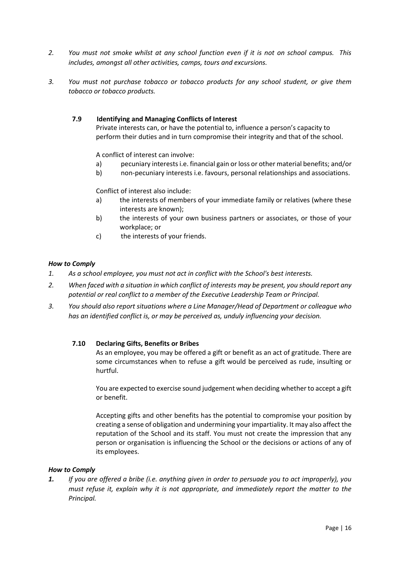- *2. You must not smoke whilst at any school function even if it is not on school campus. This includes, amongst all other activities, camps, tours and excursions.*
- *3. You must not purchase tobacco or tobacco products for any school student, or give them tobacco or tobacco products.*

## **7.9 Identifying and Managing Conflicts of Interest**

Private interests can, or have the potential to, influence a person's capacity to perform their duties and in turn compromise their integrity and that of the school.

A conflict of interest can involve:

- a) pecuniary interests i.e. financial gain or loss or other material benefits; and/or
- b) non-pecuniary interests i.e. favours, personal relationships and associations.

Conflict of interest also include:

- a) the interests of members of your immediate family or relatives (where these interests are known);
- b) the interests of your own business partners or associates, or those of your workplace; or
- c) the interests of your friends.

## *How to Comply*

- *1. As a school employee, you must not act in conflict with the School's best interests.*
- *2. When faced with a situation in which conflict of interests may be present, you should report any potential or real conflict to a member of the Executive Leadership Team or Principal.*
- *3. You should also report situations where a Line Manager/Head of Department or colleague who has an identified conflict is, or may be perceived as, unduly influencing your decision.*

## **7.10 Declaring Gifts, Benefits or Bribes**

As an employee, you may be offered a gift or benefit as an act of gratitude. There are some circumstances when to refuse a gift would be perceived as rude, insulting or hurtful.

You are expected to exercise sound judgement when deciding whether to accept a gift or benefit.

Accepting gifts and other benefits has the potential to compromise your position by creating a sense of obligation and undermining your impartiality. It may also affect the reputation of the School and its staff. You must not create the impression that any person or organisation is influencing the School or the decisions or actions of any of its employees.

## *How to Comply*

*1. If you are offered a bribe (i.e. anything given in order to persuade you to act improperly), you must refuse it, explain why it is not appropriate, and immediately report the matter to the Principal.*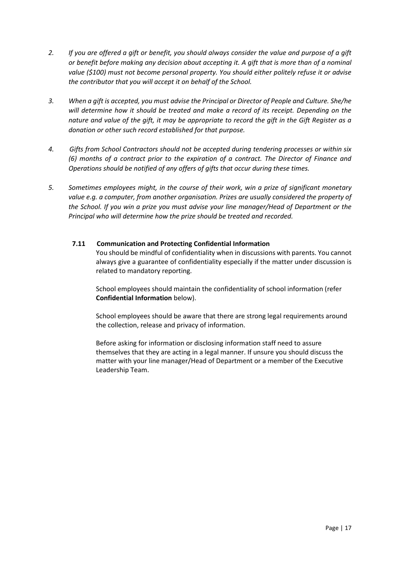- *2. If you are offered a gift or benefit, you should always consider the value and purpose of a gift or benefit before making any decision about accepting it. A gift that is more than of a nominal value (\$100) must not become personal property. You should either politely refuse it or advise the contributor that you will accept it on behalf of the School.*
- *3. When a gift is accepted, you must advise the Principal or Director of People and Culture. She/he will determine how it should be treated and make a record of its receipt. Depending on the nature and value of the gift, it may be appropriate to record the gift in the Gift Register as a donation or other such record established for that purpose.*
- *4. Gifts from School Contractors should not be accepted during tendering processes or within six (6) months of a contract prior to the expiration of a contract. The Director of Finance and Operations should be notified of any offers of gifts that occur during these times.*
- *5. Sometimes employees might, in the course of their work, win a prize of significant monetary value e.g. a computer, from another organisation. Prizes are usually considered the property of the School. If you win a prize you must advise your line manager/Head of Department or the Principal who will determine how the prize should be treated and recorded.*

# **7.11 Communication and Protecting Confidential Information**

You should be mindful of confidentiality when in discussions with parents. You cannot always give a guarantee of confidentiality especially if the matter under discussion is related to mandatory reporting.

School employees should maintain the confidentiality of school information (refer **Confidential Information** below).

School employees should be aware that there are strong legal requirements around the collection, release and privacy of information.

Before asking for information or disclosing information staff need to assure themselves that they are acting in a legal manner. If unsure you should discuss the matter with your line manager/Head of Department or a member of the Executive Leadership Team.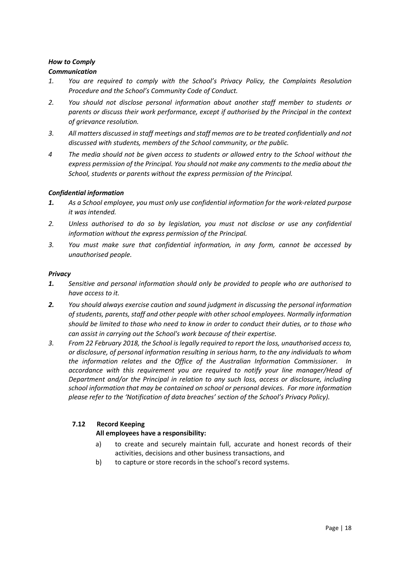## *Communication*

- *1. You are required to comply with the School's Privacy Policy, the Complaints Resolution Procedure and the School's Community Code of Conduct.*
- *2. You should not disclose personal information about another staff member to students or parents or discuss their work performance, except if authorised by the Principal in the context of grievance resolution.*
- *3. All matters discussed in staff meetings and staff memos are to be treated confidentially and not discussed with students, members of the School community, or the public.*
- *4 The media should not be given access to students or allowed entry to the School without the express permission of the Principal. You should not make any comments to the media about the School, students or parents without the express permission of the Principal.*

## *Confidential information*

- *1. As a School employee, you must only use confidential information for the work-related purpose it was intended.*
- *2. Unless authorised to do so by legislation, you must not disclose or use any confidential information without the express permission of the Principal.*
- *3. You must make sure that confidential information, in any form, cannot be accessed by unauthorised people.*

## *Privacy*

- *1. Sensitive and personal information should only be provided to people who are authorised to have access to it.*
- *2. You should always exercise caution and sound judgment in discussing the personal information of students, parents, staff and other people with other school employees. Normally information should be limited to those who need to know in order to conduct their duties, or to those who can assist in carrying out the School's work because of their expertise.*
- *3. From 22 February 2018, the School is legally required to report the loss, unauthorised access to, or disclosure, of personal information resulting in serious harm, to the any individuals to whom the information relates and the Office of the Australian Information Commissioner. In accordance with this requirement you are required to notify your line manager/Head of Department and/or the Principal in relation to any such loss, access or disclosure, including school information that may be contained on school or personal devices. For more information please refer to the 'Notification of data breaches' section of the School's Privacy Policy).*

# **7.12 Record Keeping**

## **All employees have a responsibility:**

- a) to create and securely maintain full, accurate and honest records of their activities, decisions and other business transactions, and
- b) to capture or store records in the school's record systems.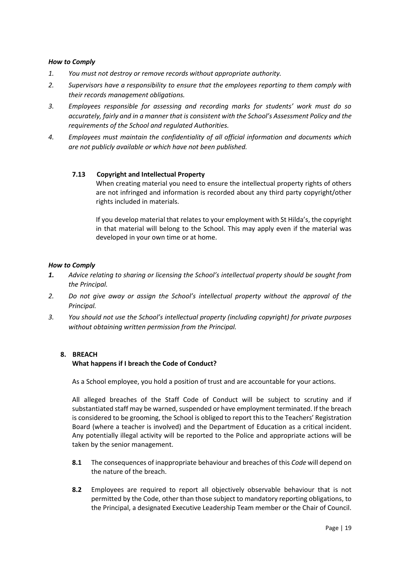- *1. You must not destroy or remove records without appropriate authority.*
- *2. Supervisors have a responsibility to ensure that the employees reporting to them comply with their records management obligations.*
- *3. Employees responsible for assessing and recording marks for students' work must do so accurately, fairly and in a manner that is consistent with the School's Assessment Policy and the requirements of the School and regulated Authorities.*
- *4. Employees must maintain the confidentiality of all official information and documents which are not publicly available or which have not been published.*

## **7.13 Copyright and Intellectual Property**

When creating material you need to ensure the intellectual property rights of others are not infringed and information is recorded about any third party copyright/other rights included in materials.

If you develop material that relates to your employment with St Hilda's, the copyright in that material will belong to the School. This may apply even if the material was developed in your own time or at home.

## *How to Comply*

- *1. Advice relating to sharing or licensing the School's intellectual property should be sought from the Principal.*
- *2. Do not give away or assign the School's intellectual property without the approval of the Principal.*
- *3. You should not use the School's intellectual property (including copyright) for private purposes without obtaining written permission from the Principal.*

## **8. BREACH**

## **What happens if I breach the Code of Conduct?**

As a School employee, you hold a position of trust and are accountable for your actions.

All alleged breaches of the Staff Code of Conduct will be subject to scrutiny and if substantiated staff may be warned, suspended or have employment terminated. If the breach is considered to be grooming, the School is obliged to report this to the Teachers' Registration Board (where a teacher is involved) and the Department of Education as a critical incident. Any potentially illegal activity will be reported to the Police and appropriate actions will be taken by the senior management.

- **8.1** The consequences of inappropriate behaviour and breaches of this *Code* will depend on the nature of the breach.
- **8.2** Employees are required to report all objectively observable behaviour that is not permitted by the Code, other than those subject to mandatory reporting obligations, to the Principal, a designated Executive Leadership Team member or the Chair of Council.